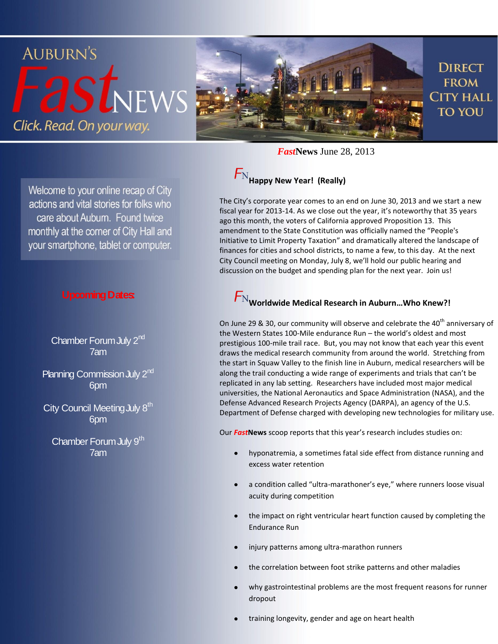

*Fast***News** June 28, 2013

### Welcome to your online recap of City actions and vital stories for folks who care about Auburn. Found twice monthly at the corner of City Hall and your smartphone, tablet or computer.

#### **Upcoming Dates:**

- Chamber Forum July 2<sup>nd</sup> 7am
- Planning Commission July 2<sup>nd</sup> 6pm
- City Council Meeting July 8<sup>th</sup> 6pm
	- Chamber Forum July 9<sup>th</sup> 7am

# $F_{\rm N}$  Happy New Year! (Really)

The City's corporate year comes to an end on June 30, 2013 and we start a new fiscal year for 2013-14. As we close out the year, it's noteworthy that 35 years ago this month, the voters of California approved Proposition 13. This amendment to the State Constitution was officially named the "People's Initiative to Limit Property Taxation" and dramatically altered the landscape of finances for cities and school districts, to name a few, to this day. At the next City Council meeting on Monday, July 8, we'll hold our public hearing and discussion on the budget and spending plan for the next year. Join us!

## $\mathcal{F}_\text{N}$ Worldwide Medical Research in Auburn...Who Knew?!

On June 29 & 30, our community will observe and celebrate the  $40<sup>th</sup>$  anniversary of the Western States 100-Mile endurance Run – the world's oldest and most prestigious 100-mile trail race. But, you may not know that each year this event draws the medical research community from around the world. Stretching from the start in Squaw Valley to the finish line in Auburn, medical researchers will be along the trail conducting a wide range of experiments and trials that can't be replicated in any lab setting. Researchers have included most major medical universities, the National Aeronautics and Space Administration (NASA), and the Defense Advanced Research Projects Agency (DARPA), an agency of the U.S. Department of Defense charged with developing new technologies for military use.

Our *Fast***News** scoop reports that this year's research includes studies on:

- hyponatremia, a sometimes fatal side effect from distance running and excess water retention
- a condition called "ultra-marathoner's eye," where runners loose visual acuity during competition
- the impact on right ventricular heart function caused by completing the Endurance Run
- injury patterns among ultra-marathon runners
- the correlation between foot strike patterns and other maladies
- why gastrointestinal problems are the most frequent reasons for runner dropout
- training longevity, gender and age on heart health